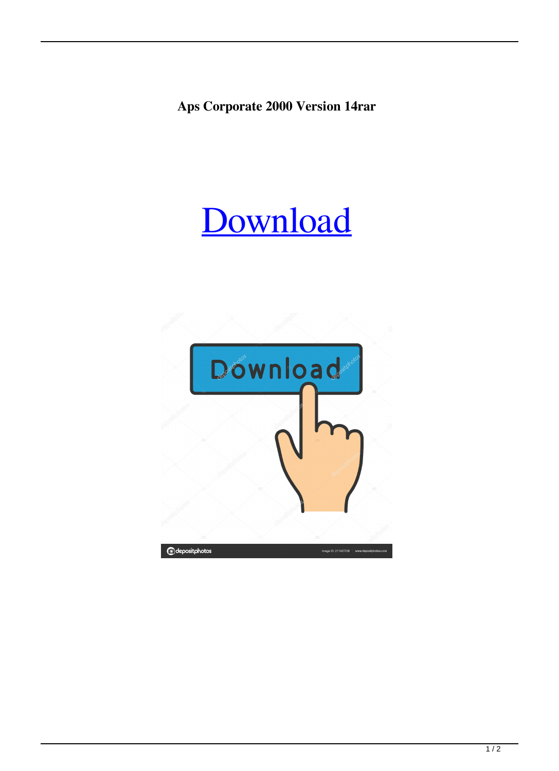**Aps Corporate 2000 Version 14rar**

## [Download](http://evacdir.com/birding/QXBzIENvcnBvcmF0ZSAyMDAwIFZlcnNpb24gMTRyYXIQXB.darnedest?hypothalamic=reflectometer&ZG93bmxvYWR8SXcwTVdGdGMzeDhNVFkxTWpjME1EZzJObng4TWpVM05IeDhLRTBwSUhKbFlXUXRZbXh2WnlCYlJtRnpkQ0JIUlU1ZA=&trombonists=®ularity=)